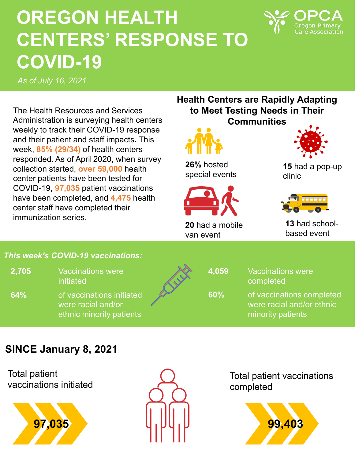# **OREGON HEALTH CENTERS' RESPONSE TO COVID-19**



*As of July 16, 2021*

The Health Resources and Services Administration is surveying health centers weekly to track their COVID-19 response and their patient and staff impacts**.** This week, **85% (29/34)** of health centers responded. As of April 2020, when survey collection started, **over 59,000** health center patients have been tested for COVID-19, **97,035** patient vaccinations have been completed, and **4,475** health center staff have completed their immunization series.

## **Health Centers are Rapidly Adapting to Meet Testing Needs in Their Communities**



**26%** hosted special events



**20** had a mobile van event

**15** had a pop-up clinic



**13** had schoolbased event

#### *This week's COVID-19 vaccinations:*

- **2,705** Vaccinations were initiated
- **64%** of vaccinations initiated were racial and/or ethnic minority patients
- - **4,059** Vaccinations were completed
	- **60%** of vaccinations completed were racial and/or ethnic minority patients

# **SINCE January 8, 2021**

Total patient vaccinations initiated





Total patient vaccinations completed